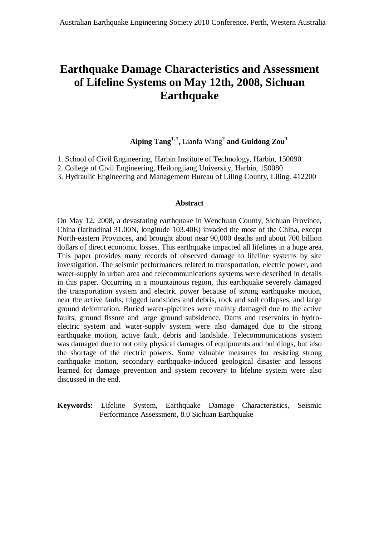# **Earthquake Damage Characteristics and Assessment of Lifeline Systems on May 12th, 2008, Sichuan Earthquake**

# **Aiping Tang1, 2 ,** Lianfa Wang **2 and Guidong Zou<sup>3</sup>**

- 1. School of Civil Engineering, Harbin Institute of Technology, Harbin, 150090
- 2. College of Civil Engineering, Heilongjiang University, Harbin, 150080
- 3. Hydraulic Engineering and Management Bureau of Liling County, Liling, 412200

#### **Abstract**

On May 12, 2008, a devastating earthquake in Wenchuan County, Sichuan Province, China (latitudinal 31.00N, longitude 103.40E) invaded the most of the China, except North-eastern Provinces, and brought about near 90,000 deaths and about 700 billion dollars of direct economic losses. This earthquake impacted all lifelines in a huge area. This paper provides many records of observed damage to lifeline systems by site investigation. The seismic performances related to transportation, electric power, and water-supply in urban area and telecommunications systems were described in details in this paper. Occurring in a mountainous region, this earthquake severely damaged the transportation system and electric power because of strong earthquake motion, near the active faults, trigged landslides and debris, rock and soil collapses, and large ground deformation. Buried water-pipelines were mainly damaged due to the active faults, ground fissure and large ground subsidence. Dams and reservoirs in hydroelectric system and water-supply system were also damaged due to the strong earthquake motion, active fault, debris and landslide. Telecommunications system was damaged due to not only physical damages of equipments and buildings, but also the shortage of the electric powers. Some valuable measures for resisting strong earthquake motion, secondary earthquake-induced geological disaster and lessons learned for damage prevention and system recovery to lifeline system were also discussed in the end.

**Keywords:** Lifeline System, Earthquake Damage Characteristics, Seismic Performance Assessment, 8.0 Sichuan Earthquake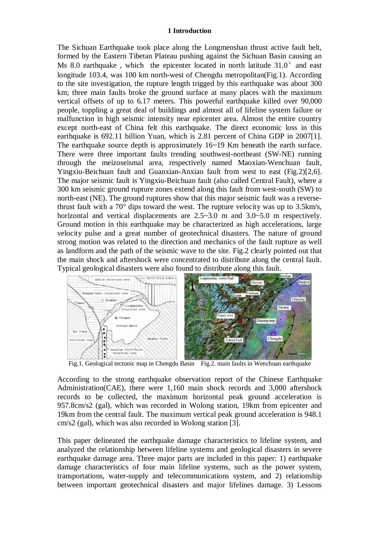#### **1 Introduction**

The Sichuan Earthquake took place along the Longmenshan thrust active fault belt, formed by the Eastern Tibetan Plateau pushing against the Sichuan Basin causing an Ms 8.0 earthquake, which the epicenter located in north latitude  $31.0^{\circ}$  and east longitude 103.4, was 100 km north-west of Chengdu metropolitan(Fig.1). According to the site investigation, the rupture length trigged by this earthquake was about 300 km; three main faults broke the ground surface at many places with the maximum vertical offsets of up to 6.17 meters. This powerful earthquake killed over 90,000 people, toppling a great deal of buildings and almost all of lifeline system failure or malfunction in high seismic intensity near epicenter area. Almost the entire country except north-east of China felt this earthquake. The direct economic loss in this earthquake is 692.11 billion Yuan, which is 2.81 percent of China GDP in 2007[1]. The earthquake source depth is approximately 16~19 Km beneath the earth surface. There were three important faults trending southwest-northeast (SW-NE) running through the meizoseismal area, respectively named Maoxian-Wenchuan fault, Yingxiu-Beichuan fault and Guanxian-Anxian fault from west to east (Fig.2)[2,6]. The major seismic fault is Yingxiu-Beichuan fault (also called Central Fault), where a 300 km seismic ground rupture zones extend along this fault from west-south (SW) to north-east (NE). The ground ruptures show that this major seismic fault was a reversethrust fault with a 70° dips toward the west. The rupture velocity was up to 3.5km/s, horizontal and vertical displacements are  $2.5 \times 3.0$  m and  $3.0 \times 5.0$  m respectively. Ground motion in this earthquake may be characterized as high accelerations, large velocity pulse and a great number of geotechnical disasters. The nature of ground strong motion was related to the direction and mechanics of the fault rupture as well as landform and the path of the seismic wave to the site. Fig.2 clearly pointed out that the main shock and aftershock were concentrated to distribute along the central fault. Typical geological disasters were also found to distribute along this fault.



Fig.1. Geological tectonic map in Chengdu Basin Fig.2. main faults in Wenchuan earthquake

According to the strong earthquake observation report of the Chinese Earthquake Administration(CAE), there were 1,160 main shock records and 3,000 aftershock records to be collected, the maximum horizontal peak ground acceleration is 957.8cm/s2 (gal), which was recorded in Wolong station, 19km from epicenter and 19km from the central fault. The maximum vertical peak ground acceleration is 948.1 cm/s2 (gal), which was also recorded in Wolong station [3].

This paper delineated the earthquake damage characteristics to lifeline system, and analyzed the relationship between lifeline systems and geological disasters in severe earthquake damage area. Three major parts are included in this paper: 1) earthquake damage characteristics of four main lifeline systems, such as the power system, transportations, water-supply and telecommunications system, and 2) relationship between important geotechnical disasters and major lifelines damage. 3) Lessons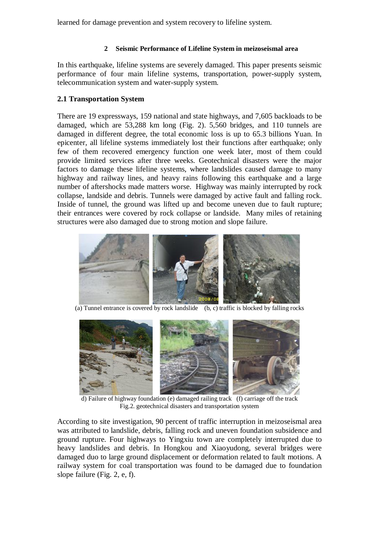learned for damage prevention and system recovery to lifeline system.

## **2 Seismic Performance of Lifeline System in meizoseismal area**

In this earthquake, lifeline systems are severely damaged. This paper presents seismic performance of four main lifeline systems, transportation, power-supply system, telecommunication system and water-supply system.

## **2.1 Transportation System**

There are 19 expressways, 159 national and state highways, and 7,605 backloads to be damaged, which are 53,288 km long (Fig. 2). 5,560 bridges, and 110 tunnels are damaged in different degree, the total economic loss is up to 65.3 billions Yuan. In epicenter, all lifeline systems immediately lost their functions after earthquake; only few of them recovered emergency function one week later, most of them could provide limited services after three weeks. Geotechnical disasters were the major factors to damage these lifeline systems, where landslides caused damage to many highway and railway lines, and heavy rains following this earthquake and a large number of aftershocks made matters worse. Highway was mainly interrupted by rock collapse, landside and debris. Tunnels were damaged by active fault and falling rock. Inside of tunnel, the ground was lifted up and become uneven due to fault rupture; their entrances were covered by rock collapse or landside. Many miles of retaining structures were also damaged due to strong motion and slope failure.



(a) Tunnel entrance is covered by rock landslide (b, c) traffic is blocked by falling rocks



d) Failure of highway foundation (e) damaged railing track (f) carriage off the track Fig.2. geotechnical disasters and transportation system

According to site investigation, 90 percent of traffic interruption in meizoseismal area was attributed to landslide, debris, falling rock and uneven foundation subsidence and ground rupture. Four highways to Yingxiu town are completely interrupted due to heavy landslides and debris. In Hongkou and Xiaoyudong, several bridges were damaged duo to large ground displacement or deformation related to fault motions. A railway system for coal transportation was found to be damaged due to foundation slope failure (Fig. 2, e, f).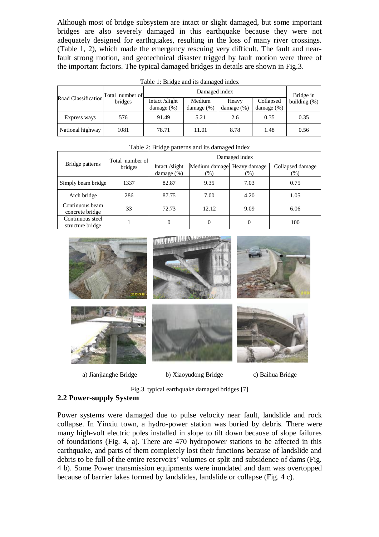Although most of bridge subsystem are intact or slight damaged, but some important bridges are also severely damaged in this earthquake because they were not adequately designed for earthquakes, resulting in the loss of many river crossings. (Table 1, 2), which made the emergency rescuing very difficult. The fault and nearfault strong motion, and geotechnical disaster trigged by fault motion were three of the important factors. The typical damaged bridges in details are shown in Fig.3.

| Road Classification | number of<br>Total<br>bridges | Damaged index                  |                         |                         |                            | Bridge in       |
|---------------------|-------------------------------|--------------------------------|-------------------------|-------------------------|----------------------------|-----------------|
|                     |                               | Intact/slight<br>damage $(\%)$ | Medium<br>damage $(\%)$ | Heavy<br>damage $(\% )$ | Collapsed<br>damage $(\%)$ | building $(\%)$ |
| Express ways        | 576                           | 91.49                          | 5.21                    | 2.6                     | 0.35                       | 0.35            |
| National highway    | 1081                          | 78.71                          | 11.01                   | 8.78                    | 1.48                       | 0.56            |

Table 1: Bridge and its damaged index

| Bridge patterns                      | Total number of<br>bridges | Damaged index                   |                      |                        |                            |  |  |
|--------------------------------------|----------------------------|---------------------------------|----------------------|------------------------|----------------------------|--|--|
|                                      |                            | Intact /slight<br>damage $(\%)$ | Medium damage<br>(%) | Heavy damage<br>$(\%)$ | Collapsed damage<br>$(\%)$ |  |  |
| Simply beam bridge                   | 1337                       | 82.87                           | 9.35                 | 7.03                   | 0.75                       |  |  |
| Arch bridge                          | 286                        | 87.75                           | 7.00                 | 4.20                   | 1.05                       |  |  |
| Continuous beam<br>concrete bridge   | 33                         | 72.73                           | 12.12                | 9.09                   | 6.06                       |  |  |
| Continuous steel<br>structure bridge |                            | $\theta$                        | $\Omega$             | $\overline{0}$         | 100                        |  |  |

Table 2: Bridge patterns and its damaged index



a) Jianjianghe Bridge b) Xiaoyudong Bridge c) Baihua Bridge

Fig.3. typical earthquake damaged bridges [7]

#### **2.2 Power-supply System**

Power systems were damaged due to pulse velocity near fault, landslide and rock collapse. In Yinxiu town, a hydro-power station was buried by debris. There were many high-volt electric poles installed in slope to tilt down because of slope failures of foundations (Fig. 4, a). There are 470 hydropower stations to be affected in this earthquake, and parts of them completely lost their functions because of landslide and debris to be full of the entire reservoirs' volumes or split and subsidence of dams (Fig. 4 b). Some Power transmission equipments were inundated and dam was overtopped because of barrier lakes formed by landslides, landslide or collapse (Fig. 4 c).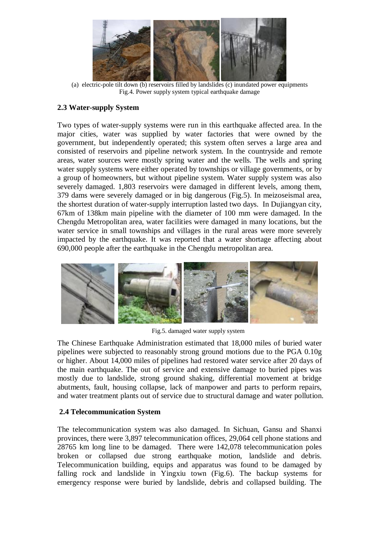

(a) electric-pole tilt down (b) reservoirs filled by landslides (c) inundated power equipments Fig.4. Power supply system typical earthquake damage

# **2.3 Water-supply System**

Two types of water-supply systems were run in this earthquake affected area. In the major cities, water was supplied by water factories that were owned by the government, but independently operated; this system often serves a large area and consisted of reservoirs and pipeline network system. In the countryside and remote areas, water sources were mostly spring water and the wells. The wells and spring water supply systems were either operated by townships or village governments, or by a group of homeowners, but without pipeline system. Water supply system was also severely damaged. 1,803 reservoirs were damaged in different levels, among them, 379 dams were severely damaged or in big dangerous (Fig.5). In meizoseismal area, the shortest duration of water-supply interruption lasted two days. In Dujiangyan city, 67km of 138km main pipeline with the diameter of 100 mm were damaged. In the Chengdu Metropolitan area, water facilities were damaged in many locations, but the water service in small townships and villages in the rural areas were more severely impacted by the earthquake. It was reported that a water shortage affecting about 690,000 people after the earthquake in the Chengdu metropolitan area.



Fig.5. damaged water supply system

The Chinese Earthquake Administration estimated that 18,000 miles of buried water pipelines were subjected to reasonably strong ground motions due to the PGA 0.10g or higher. About 14,000 miles of pipelines had restored water service after 20 days of the main earthquake. The out of service and extensive damage to buried pipes was mostly due to landslide, strong ground shaking, differential movement at bridge abutments, fault, housing collapse, lack of manpower and parts to perform repairs, and water treatment plants out of service due to structural damage and water pollution.

# **2.4 Telecommunication System**

The telecommunication system was also damaged. In Sichuan, Gansu and Shanxi provinces, there were 3,897 telecommunication offices, 29,064 cell phone stations and 28765 km long line to be damaged. There were 142,078 telecommunication poles broken or collapsed due strong earthquake motion, landslide and debris. Telecommunication building, equips and apparatus was found to be damaged by falling rock and landslide in Yingxiu town (Fig.6). The backup systems for emergency response were buried by landslide, debris and collapsed building. The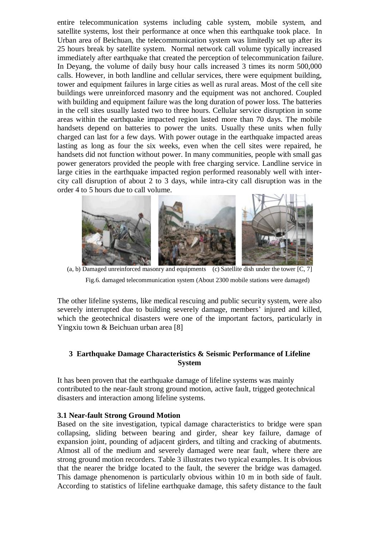entire telecommunication systems including cable system, mobile system, and satellite systems, lost their performance at once when this earthquake took place. In Urban area of Beichuan, the telecommunication system was limitedly set up after its 25 hours break by satellite system. Normal network call volume typically increased immediately after earthquake that created the perception of telecommunication failure. In Deyang, the volume of daily busy hour calls increased 3 times its norm 500,000 calls. However, in both landline and cellular services, there were equipment building, tower and equipment failures in large cities as well as rural areas. Most of the cell site buildings were unreinforced masonry and the equipment was not anchored. Coupled with building and equipment failure was the long duration of power loss. The batteries in the cell sites usually lasted two to three hours. Cellular service disruption in some areas within the earthquake impacted region lasted more than 70 days. The mobile handsets depend on batteries to power the units. Usually these units when fully charged can last for a few days. With power outage in the earthquake impacted areas lasting as long as four the six weeks, even when the cell sites were repaired, he handsets did not function without power. In many communities, people with small gas power generators provided the people with free charging service. Landline service in large cities in the earthquake impacted region performed reasonably well with intercity call disruption of about 2 to 3 days, while intra-city call disruption was in the order 4 to 5 hours due to call volume.



(a, b) Damaged unreinforced masonry and equipments (c) Satellite dish under the tower [C, 7] Fig.6. damaged telecommunication system (About 2300 mobile stations were damaged)

The other lifeline systems, like medical rescuing and public security system, were also severely interrupted due to building severely damage, members' injured and killed, which the geotechnical disasters were one of the important factors, particularly in Yingxiu town & Beichuan urban area [8]

# **3 Earthquake Damage Characteristics & Seismic Performance of Lifeline System**

It has been proven that the earthquake damage of lifeline systems was mainly contributed to the near-fault strong ground motion, active fault, trigged geotechnical disasters and interaction among lifeline systems.

## **3.1 Near-fault Strong Ground Motion**

Based on the site investigation, typical damage characteristics to bridge were span collapsing, sliding between bearing and girder, shear key failure, damage of expansion joint, pounding of adjacent girders, and tilting and cracking of abutments. Almost all of the medium and severely damaged were near fault, where there are strong ground motion recorders. Table 3 illustrates two typical examples. It is obvious that the nearer the bridge located to the fault, the severer the bridge was damaged. This damage phenomenon is particularly obvious within 10 m in both side of fault. According to statistics of lifeline earthquake damage, this safety distance to the fault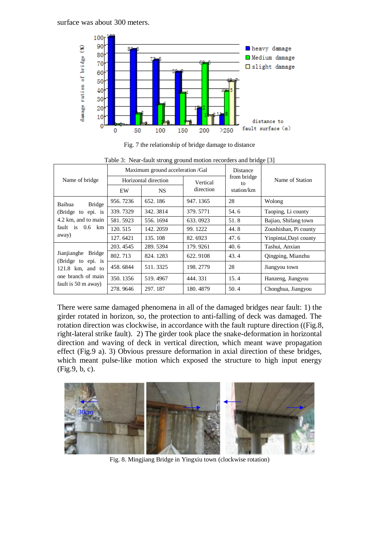

Fig. 7 the relationship of bridge damage to distance

|                                                                                                  | ے ت<br>Maximum ground acceleration /Gal |           |           | Distance          |                        |  |
|--------------------------------------------------------------------------------------------------|-----------------------------------------|-----------|-----------|-------------------|------------------------|--|
| Name of bridge                                                                                   | Horizontal direction                    |           | Vertical  | from bridge<br>to | Name of Station        |  |
|                                                                                                  | EW                                      | <b>NS</b> | direction | station/km        |                        |  |
| <b>Bridge</b><br>Baihua<br>(Bridge to epi. is<br>4.2 km, and to main<br>fault is 0.6 km<br>away) | 956, 7236                               | 652.186   | 947.1365  | 28                | Wolong                 |  |
|                                                                                                  | 339.7329                                | 342.3814  | 379.5771  | 54.6              | Taoping, Li county     |  |
|                                                                                                  | 581.5923                                | 556.1694  | 633.0923  | 51.8              | Bajiao, Shifang town   |  |
|                                                                                                  | 120.515                                 | 142.2059  | 99.1222   | 44.8              | Zoushishan, Pi county  |  |
|                                                                                                  | 127.6421                                | 135.108   | 82.6923   | 47.6              | Yinpintai, Dayi county |  |
|                                                                                                  | 203.4545                                | 289.5394  | 179.9261  | 40.6              | Tashui, Anxian         |  |
| Jianjianghe Bridge<br>(Bridge to epi. is                                                         | 802.713                                 | 824.1283  | 622.9108  | 43.4              | Qingping, Mianzhu      |  |
| $121.8$ km, and to                                                                               | 458, 6844                               | 511.3325  | 198.2779  | 28                | Jiangyou town          |  |
| one branch of main<br>fault is 50 m away)                                                        | 350.1356                                | 519.4967  | 444.331   | 15.4              | Hanzeng, Jiangyou      |  |
|                                                                                                  | 278.9646                                | 297.187   | 180.4879  | 50.4              | Chonghua, Jiangyou     |  |

| Table 3: Near-fault strong ground motion recorders and bridge [3] |  |  |
|-------------------------------------------------------------------|--|--|
|                                                                   |  |  |

There were same damaged phenomena in all of the damaged bridges near fault: 1) the girder rotated in horizon, so, the protection to anti-falling of deck was damaged. The rotation direction was clockwise, in accordance with the fault rupture direction ((Fig.8, right-lateral strike fault). 2) The girder took place the snake-deformation in horizontal direction and waving of deck in vertical direction, which meant wave propagation effect (Fig.9 a). 3) Obvious pressure deformation in axial direction of these bridges, which meant pulse-like motion which exposed the structure to high input energy (Fig.9, b, c).



Fig. 8. Mingjiang Bridge in Yingxiu town (clockwise rotation)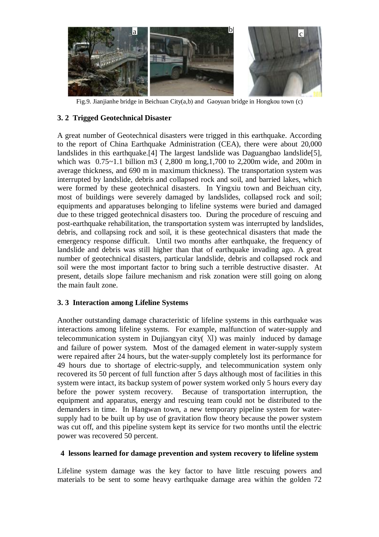

Fig.9. Jianjianhe bridge in Beichuan City(a,b) and Gaoyuan bridge in Hongkou town (c)

## **3. 2 Trigged Geotechnical Disaster**

A great number of Geotechnical disasters were trigged in this earthquake. According to the report of China Earthquake Administration (CEA), there were about 20,000 landslides in this earthquake.[4] The largest landslide was Daguangbao landslide[5], which was 0.75~1.1 billion m3 ( 2,800 m long,1,700 to 2,200m wide, and 200m in average thickness, and 690 m in maximum thickness). The transportation system was interrupted by landslide, debris and collapsed rock and soil, and barried lakes, which were formed by these geotechnical disasters. In Yingxiu town and Beichuan city, most of buildings were severely damaged by landslides, collapsed rock and soil; equipments and apparatuses belonging to lifeline systems were buried and damaged due to these trigged geotechnical disasters too. During the procedure of rescuing and post-earthquake rehabilitation, the transportation system was interrupted by landslides, debris, and collapsing rock and soil, it is these geotechnical disasters that made the emergency response difficult. Until two months after earthquake, the frequency of landslide and debris was still higher than that of earthquake invading ago. A great number of geotechnical disasters, particular landslide, debris and collapsed rock and soil were the most important factor to bring such a terrible destructive disaster. At present, details slope failure mechanism and risk zonation were still going on along the main fault zone.

## **3. 3 Interaction among Lifeline Systems**

Another outstanding damage characteristic of lifeline systems in this earthquake was interactions among lifeline systems. For example, malfunction of water-supply and telecommunication system in Dujiangyan city( Ⅺ) was mainly induced by damage and failure of power system. Most of the damaged element in water-supply system were repaired after 24 hours, but the water-supply completely lost its performance for 49 hours due to shortage of electric-supply, and telecommunication system only recovered its 50 percent of full function after 5 days although most of facilities in this system were intact, its backup system of power system worked only 5 hours every day before the power system recovery. Because of transportation interruption, the equipment and apparatus, energy and rescuing team could not be distributed to the demanders in time. In Hangwan town, a new temporary pipeline system for watersupply had to be built up by use of gravitation flow theory because the power system was cut off, and this pipeline system kept its service for two months until the electric power was recovered 50 percent.

## **4 lessons learned for damage prevention and system recovery to lifeline system**

Lifeline system damage was the key factor to have little rescuing powers and materials to be sent to some heavy earthquake damage area within the golden 72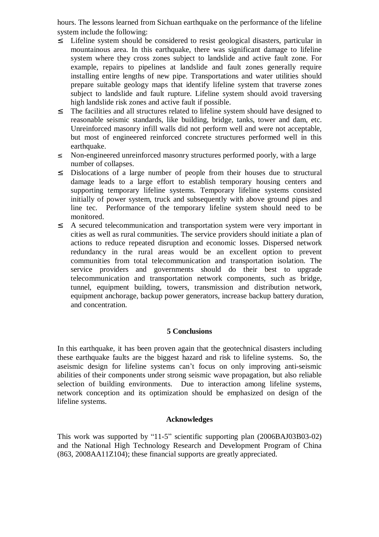hours. The lessons learned from Sichuan earthquake on the performance of the lifeline system include the following:<br>2. I ifeline system should b

- Lifeline system should be considered to resist geological disasters, particular in mountainous area. In this earthquake, there was significant damage to lifeline system where they cross zones subject to landslide and active fault zone. For example, repairs to pipelines at landslide and fault zones generally require installing entire lengths of new pipe. Transportations and water utilities should prepare suitable geology maps that identify lifeline system that traverse zones subject to landslide and fault rupture. Lifeline system should avoid traversing high landslide risk zones and active fault if possible.
- <sup>2</sup> The facilities and all structures related to lifeline system should have designed to reasonable seismic standards, like building, bridge, tanks, tower and dam, etc. Unreinforced masonry infill walls did not perform well and were not acceptable, but most of engineered reinforced concrete structures performed well in this earthquake.
- ² Non-engineered unreinforced masonry structures performed poorly, with a large number of collapses.
- ² Dislocations of a large number of people from their houses due to structural damage leads to a large effort to establish temporary housing centers and supporting temporary lifeline systems. Temporary lifeline systems consisted initially of power system, truck and subsequently with above ground pipes and line tec. Performance of the temporary lifeline system should need to be monitored.
- <sup>2</sup> A secured telecommunication and transportation system were very important in cities as well as rural communities. The service providers should initiate a plan of actions to reduce repeated disruption and economic losses. Dispersed network redundancy in the rural areas would be an excellent option to prevent communities from total telecommunication and transportation isolation. The service providers and governments should do their best to upgrade telecommunication and transportation network components, such as bridge, tunnel, equipment building, towers, transmission and distribution network, equipment anchorage, backup power generators, increase backup battery duration, and concentration.

## **5 Conclusions**

In this earthquake, it has been proven again that the geotechnical disasters including these earthquake faults are the biggest hazard and risk to lifeline systems. So, the aseismic design for lifeline systems can't focus on only improving anti-seismic abilities of their components under strong seismic wave propagation, but also reliable selection of building environments. Due to interaction among lifeline systems, network conception and its optimization should be emphasized on design of the lifeline systems.

## **Acknowledges**

This work was supported by "11-5" scientific supporting plan (2006BAJ03B03-02) and the National High Technology Research and Development Program of China (863, 2008AA11Z104); these financial supports are greatly appreciated.